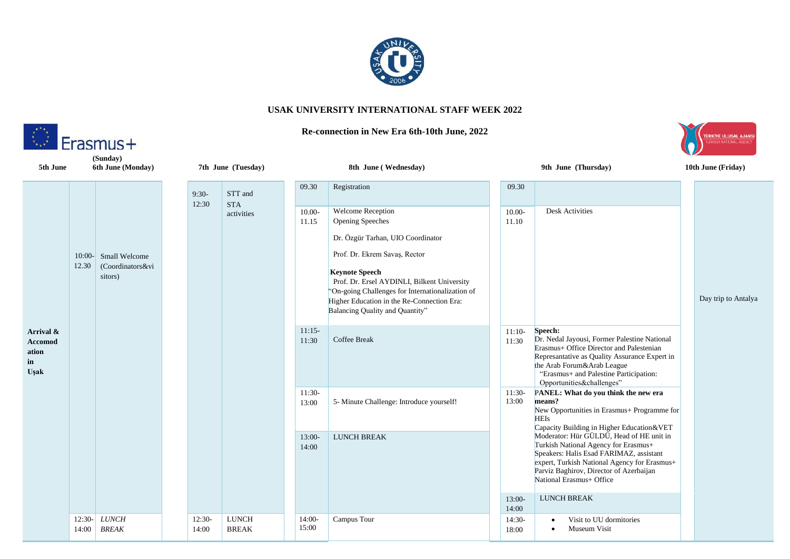

## **USAK UNIVERSITY INTERNATIONAL STAFF WEEK 2022**

## **Re-connection in New Era 6th-10th June, 2022**